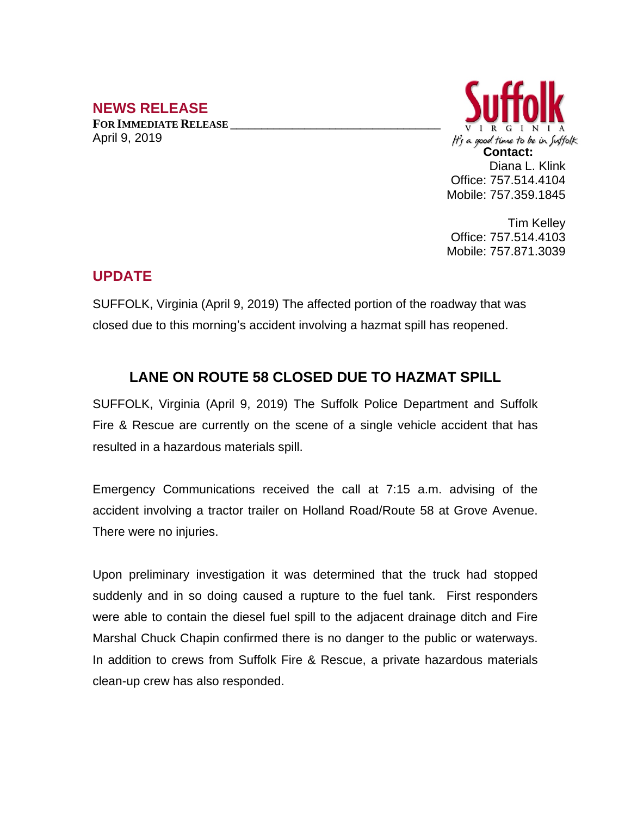## **NEWS RELEASE**

**FOR IMMEDIATE RELEASE \_\_\_\_\_\_\_\_\_\_\_\_\_\_\_\_\_\_\_\_\_\_\_\_\_\_\_\_\_\_\_\_\_\_** April 9, 2019



Tim Kelley Office: 757.514.4103 Mobile: 757.871.3039

## **UPDATE**

SUFFOLK, Virginia (April 9, 2019) The affected portion of the roadway that was closed due to this morning's accident involving a hazmat spill has reopened.

## **LANE ON ROUTE 58 CLOSED DUE TO HAZMAT SPILL**

SUFFOLK, Virginia (April 9, 2019) The Suffolk Police Department and Suffolk Fire & Rescue are currently on the scene of a single vehicle accident that has resulted in a hazardous materials spill.

Emergency Communications received the call at 7:15 a.m. advising of the accident involving a tractor trailer on Holland Road/Route 58 at Grove Avenue. There were no injuries.

Upon preliminary investigation it was determined that the truck had stopped suddenly and in so doing caused a rupture to the fuel tank. First responders were able to contain the diesel fuel spill to the adjacent drainage ditch and Fire Marshal Chuck Chapin confirmed there is no danger to the public or waterways. In addition to crews from Suffolk Fire & Rescue, a private hazardous materials clean-up crew has also responded.